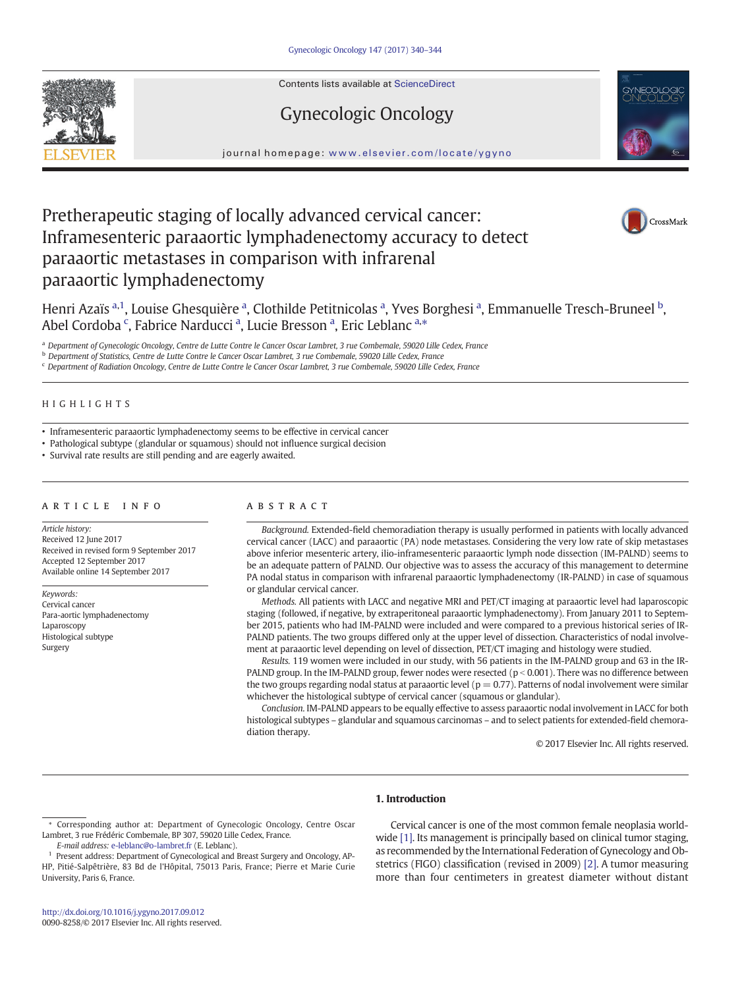Contents lists available at ScienceDirect







journal homepage: <www.elsevier.com/locate/ygyno>

# Pretherapeutic staging of locally advanced cervical cancer: Inframesenteric paraaortic lymphadenectomy accuracy to detect paraaortic metastases in comparison with infrarenal paraaortic lymphadenectomy



Henri Azaïs <sup>a,1</sup>, Louise Ghesquière <sup>a</sup>, Clothilde Petitnicolas <sup>a</sup>, Yves Borghesi <sup>a</sup>, Emmanuelle Tresch-Bruneel <sup>b</sup>, Abel Cordoba<sup>c</sup>, Fabrice Narducci<sup>a</sup>, Lucie Bresson<sup>a</sup>, Eric Leblanc<sup>a,\*</sup>

<sup>a</sup> Department of Gynecologic Oncology, Centre de Lutte Contre le Cancer Oscar Lambret, 3 rue Combemale, 59020 Lille Cedex, France

**b Department of Statistics, Centre de Lutte Contre le Cancer Oscar Lambret, 3 rue Combemale, 59020 Lille Cedex, France** 

<sup>c</sup> Department of Radiation Oncology, Centre de Lutte Contre le Cancer Oscar Lambret, 3 rue Combemale, 59020 Lille Cedex, France

#### HIGHLIGHTS

• Inframesenteric paraaortic lymphadenectomy seems to be effective in cervical cancer

• Pathological subtype (glandular or squamous) should not influence surgical decision

• Survival rate results are still pending and are eagerly awaited.

#### article info abstract

Article history: Received 12 June 2017 Received in revised form 9 September 2017 Accepted 12 September 2017 Available online 14 September 2017

Keywords: Cervical cancer Para-aortic lymphadenectomy Laparoscopy Histological subtype Surgery

Background. Extended-field chemoradiation therapy is usually performed in patients with locally advanced cervical cancer (LACC) and paraaortic (PA) node metastases. Considering the very low rate of skip metastases above inferior mesenteric artery, ilio-inframesenteric paraaortic lymph node dissection (IM-PALND) seems to be an adequate pattern of PALND. Our objective was to assess the accuracy of this management to determine PA nodal status in comparison with infrarenal paraaortic lymphadenectomy (IR-PALND) in case of squamous or glandular cervical cancer.

Methods. All patients with LACC and negative MRI and PET/CT imaging at paraaortic level had laparoscopic staging (followed, if negative, by extraperitoneal paraaortic lymphadenectomy). From January 2011 to September 2015, patients who had IM-PALND were included and were compared to a previous historical series of IR-PALND patients. The two groups differed only at the upper level of dissection. Characteristics of nodal involvement at paraaortic level depending on level of dissection, PET/CT imaging and histology were studied.

Results. 119 women were included in our study, with 56 patients in the IM-PALND group and 63 in the IR-PALND group. In the IM-PALND group, fewer nodes were resected ( $p < 0.001$ ). There was no difference between the two groups regarding nodal status at paraaortic level ( $p = 0.77$ ). Patterns of nodal involvement were similar whichever the histological subtype of cervical cancer (squamous or glandular).

Conclusion. IM-PALND appears to be equally effective to assess paraaortic nodal involvement in LACC for both histological subtypes – glandular and squamous carcinomas – and to select patients for extended-field chemoradiation therapy.

© 2017 Elsevier Inc. All rights reserved.

#### 1. Introduction

⁎ Corresponding author at: Department of Gynecologic Oncology, Centre Oscar Lambret, 3 rue Frédéric Combemale, BP 307, 59020 Lille Cedex, France.

E-mail address: [e-leblanc@o-lambret.fr](mailto:e-leblanc@o-lambret.fr) (E. Leblanc).

Cervical cancer is one of the most common female neoplasia world-wide [\[1\]](#page-3-0). Its management is principally based on clinical tumor staging, as recommended by the International Federation of Gynecology and Obstetrics (FIGO) classification (revised in 2009) [\[2\].](#page-3-0) A tumor measuring more than four centimeters in greatest diameter without distant

<sup>1</sup> Present address: Department of Gynecological and Breast Surgery and Oncology, AP-HP, Pitié-Salpêtrière, 83 Bd de l'Hôpital, 75013 Paris, France; Pierre et Marie Curie University, Paris 6, France.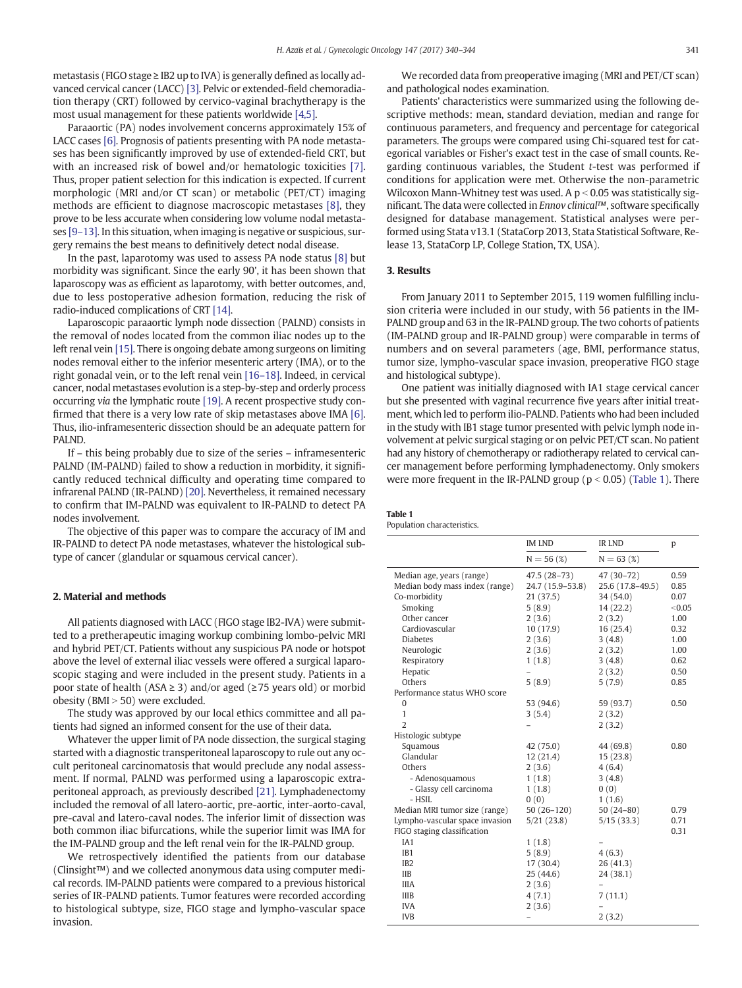metastasis (FIGO stage ≥ IB2 up to IVA) is generally defined as locally advanced cervical cancer (LACC) [\[3\].](#page-3-0) Pelvic or extended-field chemoradiation therapy (CRT) followed by cervico-vaginal brachytherapy is the most usual management for these patients worldwide [\[4,5\].](#page-3-0)

Paraaortic (PA) nodes involvement concerns approximately 15% of LACC cases [\[6\]](#page-4-0). Prognosis of patients presenting with PA node metastases has been significantly improved by use of extended-field CRT, but with an increased risk of bowel and/or hematologic toxicities [\[7\].](#page-4-0) Thus, proper patient selection for this indication is expected. If current morphologic (MRI and/or CT scan) or metabolic (PET/CT) imaging methods are efficient to diagnose macroscopic metastases [\[8\],](#page-4-0) they prove to be less accurate when considering low volume nodal metastases [9–[13\]](#page-4-0). In this situation, when imaging is negative or suspicious, surgery remains the best means to definitively detect nodal disease.

In the past, laparotomy was used to assess PA node status [\[8\]](#page-4-0) but morbidity was significant. Since the early 90', it has been shown that laparoscopy was as efficient as laparotomy, with better outcomes, and, due to less postoperative adhesion formation, reducing the risk of radio-induced complications of CRT [\[14\]](#page-4-0).

Laparoscopic paraaortic lymph node dissection (PALND) consists in the removal of nodes located from the common iliac nodes up to the left renal vein [\[15\].](#page-4-0) There is ongoing debate among surgeons on limiting nodes removal either to the inferior mesenteric artery (IMA), or to the right gonadal vein, or to the left renal vein [16–[18\].](#page-4-0) Indeed, in cervical cancer, nodal metastases evolution is a step-by-step and orderly process occurring via the lymphatic route [\[19\]](#page-4-0). A recent prospective study confirmed that there is a very low rate of skip metastases above IMA [\[6\].](#page-4-0) Thus, ilio-inframesenteric dissection should be an adequate pattern for PALND.

If – this being probably due to size of the series – inframesenteric PALND (IM-PALND) failed to show a reduction in morbidity, it significantly reduced technical difficulty and operating time compared to infrarenal PALND (IR-PALND) [\[20\]](#page-4-0). Nevertheless, it remained necessary to confirm that IM-PALND was equivalent to IR-PALND to detect PA nodes involvement.

The objective of this paper was to compare the accuracy of IM and IR-PALND to detect PA node metastases, whatever the histological subtype of cancer (glandular or squamous cervical cancer).

#### 2. Material and methods

All patients diagnosed with LACC (FIGO stage IB2-IVA) were submitted to a pretherapeutic imaging workup combining lombo-pelvic MRI and hybrid PET/CT. Patients without any suspicious PA node or hotspot above the level of external iliac vessels were offered a surgical laparoscopic staging and were included in the present study. Patients in a poor state of health (ASA  $\geq$  3) and/or aged ( $\geq$  75 years old) or morbid obesity ( $BMI > 50$ ) were excluded.

The study was approved by our local ethics committee and all patients had signed an informed consent for the use of their data.

Whatever the upper limit of PA node dissection, the surgical staging started with a diagnostic transperitoneal laparoscopy to rule out any occult peritoneal carcinomatosis that would preclude any nodal assessment. If normal, PALND was performed using a laparoscopic extraperitoneal approach, as previously described [\[21\]](#page-4-0). Lymphadenectomy included the removal of all latero-aortic, pre-aortic, inter-aorto-caval, pre-caval and latero-caval nodes. The inferior limit of dissection was both common iliac bifurcations, while the superior limit was IMA for the IM-PALND group and the left renal vein for the IR-PALND group.

We retrospectively identified the patients from our database (Clinsight™) and we collected anonymous data using computer medical records. IM-PALND patients were compared to a previous historical series of IR-PALND patients. Tumor features were recorded according to histological subtype, size, FIGO stage and lympho-vascular space invasion.

We recorded data from preoperative imaging (MRI and PET/CT scan) and pathological nodes examination.

Patients' characteristics were summarized using the following descriptive methods: mean, standard deviation, median and range for continuous parameters, and frequency and percentage for categorical parameters. The groups were compared using Chi-squared test for categorical variables or Fisher's exact test in the case of small counts. Regarding continuous variables, the Student t-test was performed if conditions for application were met. Otherwise the non-parametric Wilcoxon Mann-Whitney test was used. A  $p < 0.05$  was statistically significant. The data were collected in Ennov clinical™, software specifically designed for database management. Statistical analyses were performed using Stata v13.1 (StataCorp 2013, Stata Statistical Software, Release 13, StataCorp LP, College Station, TX, USA).

#### 3. Results

From January 2011 to September 2015, 119 women fulfilling inclusion criteria were included in our study, with 56 patients in the IM-PALND group and 63 in the IR-PALND group. The two cohorts of patients (IM-PALND group and IR-PALND group) were comparable in terms of numbers and on several parameters (age, BMI, performance status, tumor size, lympho-vascular space invasion, preoperative FIGO stage and histological subtype).

One patient was initially diagnosed with IA1 stage cervical cancer but she presented with vaginal recurrence five years after initial treatment, which led to perform ilio-PALND. Patients who had been included in the study with IB1 stage tumor presented with pelvic lymph node involvement at pelvic surgical staging or on pelvic PET/CT scan. No patient had any history of chemotherapy or radiotherapy related to cervical cancer management before performing lymphadenectomy. Only smokers were more frequent in the IR-PALND group ( $p < 0.05$ ) (Table 1). There

## Table 1

Population characteristics.

|                                | <b>IM LND</b>            | <b>IR LND</b>    | p      |
|--------------------------------|--------------------------|------------------|--------|
|                                | $N = 56(%)$              | $N = 63$ (%)     |        |
| Median age, years (range)      | 47.5 (28-73)             | 47 (30-72)       | 0.59   |
| Median body mass index (range) | 24.7 (15.9-53.8)         | 25.6 (17.8-49.5) | 0.85   |
| Co-morbidity                   | 21 (37.5)                | 34 (54.0)        | 0.07   |
| Smoking                        | 5(8.9)                   | 14 (22.2)        | < 0.05 |
| Other cancer                   | 2(3.6)                   | 2(3.2)           | 1.00   |
| Cardiovascular                 | 10(17.9)                 | 16(25.4)         | 0.32   |
| <b>Diabetes</b>                | 2(3.6)                   | 3(4.8)           | 1.00   |
| Neurologic                     | 2(3.6)                   | 2(3.2)           | 1.00   |
| Respiratory                    | 1(1.8)                   | 3(4.8)           | 0.62   |
| Hepatic                        | $\overline{\phantom{0}}$ | 2(3.2)           | 0.50   |
| Others                         | 5(8.9)                   | 5(7.9)           | 0.85   |
| Performance status WHO score   |                          |                  |        |
| 0                              | 53 (94.6)                | 59 (93.7)        | 0.50   |
| $\mathbf{1}$                   | 3(5.4)                   | 2(3.2)           |        |
| $\overline{2}$                 |                          | 2(3.2)           |        |
| Histologic subtype             |                          |                  |        |
| Squamous                       | 42 (75.0)                | 44 (69.8)        | 0.80   |
| Glandular                      | 12(21.4)                 | 15(23.8)         |        |
| Others                         | 2(3.6)                   | 4(6.4)           |        |
| - Adenosquamous                | 1(1.8)                   | 3(4.8)           |        |
| - Glassy cell carcinoma        | 1(1.8)                   | 0(0)             |        |
| - HSIL                         | 0(0)                     | 1(1.6)           |        |
| Median MRI tumor size (range)  | 50 (26-120)              | $50(24-80)$      | 0.79   |
| Lympho-vascular space invasion | 5/21(23.8)               | 5/15(33.3)       | 0.71   |
| FIGO staging classification    |                          |                  | 0.31   |
| IA1                            | 1(1.8)                   |                  |        |
| IB1                            | 5(8.9)                   | 4(6.3)           |        |
| IB <sub>2</sub>                | 17(30.4)                 | 26(41.3)         |        |
| <b>IIB</b>                     | 25(44.6)                 | 24 (38.1)        |        |
| <b>IIIA</b>                    | 2(3.6)                   |                  |        |
| <b>IIIB</b>                    | 4(7.1)                   | 7(11.1)          |        |
| <b>IVA</b>                     | 2(3.6)                   |                  |        |
| <b>IVB</b>                     |                          | 2(3.2)           |        |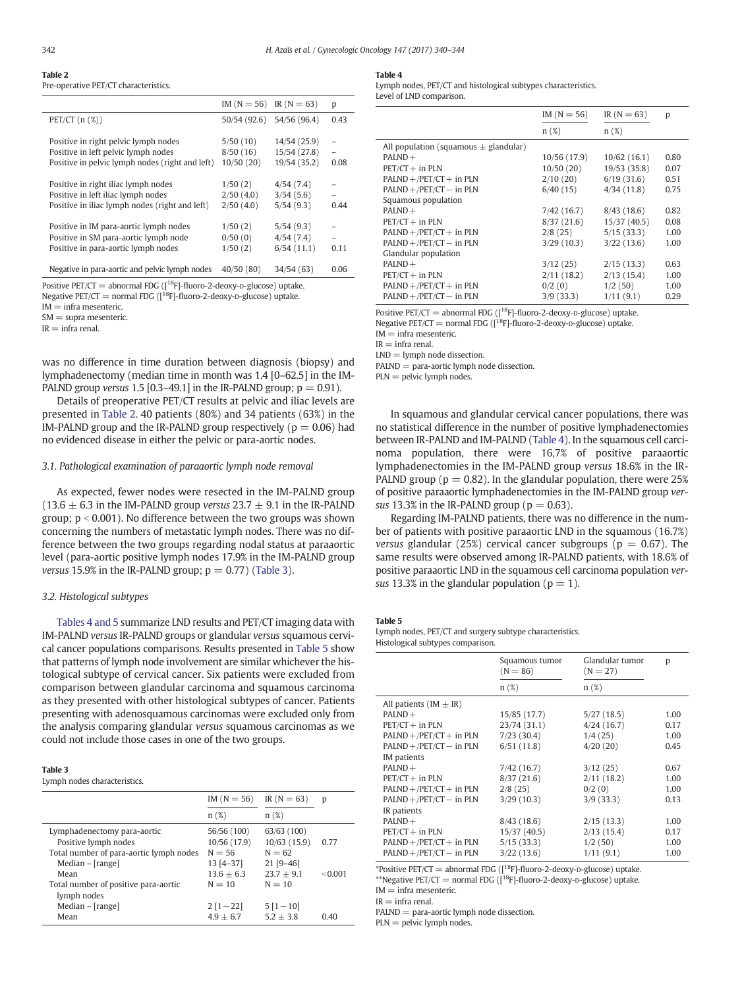| 342 | H. Azaïs et al. / Gynecologic Oncology 147 (2017) 340-344 |
|-----|-----------------------------------------------------------|
|-----|-----------------------------------------------------------|

### Table 2

Pre-operative PET/CT characteristics.

|                                                                                                                                | $IM(N = 56)$ $IR(N = 63)$         |                                              | p                                |
|--------------------------------------------------------------------------------------------------------------------------------|-----------------------------------|----------------------------------------------|----------------------------------|
| $PET/CT (n (\%))$                                                                                                              | 50/54 (92.6)                      | 54/56 (96.4)                                 | 0.43                             |
| Positive in right pelvic lymph nodes<br>Positive in left pelvic lymph nodes<br>Positive in pelvic lymph nodes (right and left) | 5/50(10)<br>8/50(16)<br>10/50(20) | 14/54 (25.9)<br>15/54 (27.8)<br>19/54 (35.2) | $\qquad \qquad -$<br>0.08        |
| Positive in right iliac lymph nodes<br>Positive in left iliac lymph nodes<br>Positive in iliac lymph nodes (right and left)    | 1/50(2)<br>2/50(4.0)<br>2/50(4.0) | 4/54(7.4)<br>3/54(5.6)<br>5/54(9.3)          | $\overline{\phantom{0}}$<br>0.44 |
| Positive in IM para-aortic lymph nodes<br>Positive in SM para-aortic lymph node<br>Positive in para-aortic lymph nodes         | 1/50(2)<br>0/50(0)<br>1/50(2)     | 5/54(9.3)<br>4/54(7.4)<br>6/54(11.1)         | 0.11                             |
| Negative in para-aortic and pelvic lymph nodes                                                                                 | 40/50(80)                         | 34/54(63)                                    | 0.06                             |

Positive PET/CT = abnormal FDG ( $\left[1^8F\right]$ -fluoro-2-deoxy-p-glucose) uptake.

Negative PET/CT = normal FDG  $(I^{18}F]-fluoro-2-deoxy-D-glucose)$  uptake.

 $IM = infra$  mesenteric.

 $SM =$ supra mesenteric.

 $IR = infra$  renal.

was no difference in time duration between diagnosis (biopsy) and lymphadenectomy (median time in month was 1.4 [0–62.5] in the IM-PALND group versus 1.5 [0.3–49.1] in the IR-PALND group;  $p = 0.91$ .

Details of preoperative PET/CT results at pelvic and iliac levels are presented in Table 2. 40 patients (80%) and 34 patients (63%) in the IM-PALND group and the IR-PALND group respectively ( $p = 0.06$ ) had no evidenced disease in either the pelvic or para-aortic nodes.

#### 3.1. Pathological examination of paraaortic lymph node removal

As expected, fewer nodes were resected in the IM-PALND group (13.6  $\pm$  6.3 in the IM-PALND group versus 23.7  $\pm$  9.1 in the IR-PALND group;  $p < 0.001$ ). No difference between the two groups was shown concerning the numbers of metastatic lymph nodes. There was no difference between the two groups regarding nodal status at paraaortic level (para-aortic positive lymph nodes 17.9% in the IM-PALND group versus 15.9% in the IR-PALND group;  $p = 0.77$ ) (Table 3).

#### 3.2. Histological subtypes

Tables 4 and 5 summarize LND results and PET/CT imaging data with IM-PALND versus IR-PALND groups or glandular versus squamous cervical cancer populations comparisons. Results presented in Table 5 show that patterns of lymph node involvement are similar whichever the histological subtype of cervical cancer. Six patients were excluded from comparison between glandular carcinoma and squamous carcinoma as they presented with other histological subtypes of cancer. Patients presenting with adenosquamous carcinomas were excluded only from the analysis comparing glandular versus squamous carcinomas as we could not include those cases in one of the two groups.

Lymph nodes characteristics.

|                                         | $IM(N = 56)$  | $IR(N = 63)$ | p       |
|-----------------------------------------|---------------|--------------|---------|
|                                         | n(%)          | n(%)         |         |
| Lymphadenectomy para-aortic             | 56/56 (100)   | 63/63 (100)  |         |
| Positive lymph nodes                    | 10/56 (17.9)  | 10/63(15.9)  | 0.77    |
| Total number of para-aortic lymph nodes | $N = 56$      | $N = 62$     |         |
| $Median - [range]$                      | $13 [4 - 37]$ | $21$ [9-46]  |         |
| Mean                                    | $13.6 + 6.3$  | $23.7 + 9.1$ | < 0.001 |
| Total number of positive para-aortic    | $N = 10$      | $N = 10$     |         |
| lymph nodes                             |               |              |         |
| $Median - [range]$                      | $2[1-22]$     | $5[1-10]$    |         |
| Mean                                    | $4.9 + 6.7$   | $5.2 + 3.8$  | 0.40    |
|                                         |               |              |         |

#### Table 4

Lymph nodes, PET/CT and histological subtypes characteristics. Level of LND comparison.

|                                           | $IM(N = 56)$ | $IR(N = 63)$ | р    |
|-------------------------------------------|--------------|--------------|------|
|                                           | n(%)         | n(%)         |      |
| All population (squamous $\pm$ glandular) |              |              |      |
| $PALND +$                                 | 10/56(17.9)  | 10/62(16.1)  | 0.80 |
| $PET/CT + in PLN$                         | 10/50(20)    | 19/53(35.8)  | 0.07 |
| $PALND + /PET/CT + in PLN$                | 2/10(20)     | 6/19(31.6)   | 0.51 |
| $PALND + /PET/CT - in PLN$                | 6/40(15)     | 4/34(11.8)   | 0.75 |
| Squamous population                       |              |              |      |
| $PALND +$                                 | 7/42(16.7)   | 8/43(18.6)   | 0.82 |
| $PET/CT + in PLN$                         | 8/37(21.6)   | 15/37(40.5)  | 0.08 |
| $PALND + /PET/CT + in PLN$                | 2/8(25)      | 5/15(33.3)   | 1.00 |
| $PALND + /PET/CT - in PIN$                | 3/29(10.3)   | 3/22(13.6)   | 1.00 |
| Glandular population                      |              |              |      |
| $PALND +$                                 | 3/12(25)     | 2/15(13.3)   | 0.63 |
| $PET/CT + in PLN$                         | 2/11(18.2)   | 2/13(15.4)   | 1.00 |
| $PALND + /PET/CT + in PLN$                | 0/2(0)       | 1/2(50)      | 1.00 |
| $PALND + /PET/CT - in PLN$                | 3/9(33.3)    | 1/11(9.1)    | 0.29 |

Positive PET/CT = abnormal FDG  $(1^{18}F)$ -fluoro-2-deoxy-p-glucose) uptake.

Negative PET/CT = normal FDG  $([18F]$ -fluoro-2-deoxy-D-glucose) uptake.

 $IM = infra$  mesenteric.

 $IR =$  infra renal.

 $LND =$  lymph node dissection.

 $PALND = para-aortic$  lymph node dissection.

 $PLN =$  pelvic lymph nodes.

In squamous and glandular cervical cancer populations, there was no statistical difference in the number of positive lymphadenectomies between IR-PALND and IM-PALND (Table 4). In the squamous cell carcinoma population, there were 16,7% of positive paraaortic lymphadenectomies in the IM-PALND group versus 18.6% in the IR-PALND group ( $p = 0.82$ ). In the glandular population, there were 25% of positive paraaortic lymphadenectomies in the IM-PALND group versus 13.3% in the IR-PALND group ( $p = 0.63$ ).

Regarding IM-PALND patients, there was no difference in the number of patients with positive paraaortic LND in the squamous (16.7%) versus glandular (25%) cervical cancer subgroups ( $p = 0.67$ ). The same results were observed among IR-PALND patients, with 18.6% of positive paraaortic LND in the squamous cell carcinoma population versus 13.3% in the glandular population ( $p = 1$ ).

#### Table 5

Lymph nodes, PET/CT and surgery subtype characteristics. Histological subtypes comparison.

|                            | Squamous tumor<br>$(N = 86)$ | Glandular tumor<br>$(N = 27)$ | p    |
|----------------------------|------------------------------|-------------------------------|------|
|                            | n(%)                         | $n(\%)$                       |      |
| All patients (IM $\pm$ IR) |                              |                               |      |
| $PALND +$                  | 15/85 (17.7)                 | 5/27(18.5)                    | 1.00 |
| $PET/CT + in PLN$          | 23/74(31.1)                  | 4/24(16.7)                    | 0.17 |
| $PALND + /PET/CT + in PLN$ | 7/23(30.4)                   | 1/4(25)                       | 1.00 |
| $PALND + /PET/CT - in PLN$ | 6/51(11.8)                   | 4/20(20)                      | 0.45 |
| IM patients                |                              |                               |      |
| $PALND +$                  | 7/42(16.7)                   | 3/12(25)                      | 0.67 |
| $PET/CT + in PLN$          | 8/37(21.6)                   | 2/11(18.2)                    | 1.00 |
| $PALND + /PET/CT + in PLN$ | 2/8(25)                      | 0/2(0)                        | 1.00 |
| $PALND + /PET/CT - in PLN$ | 3/29(10.3)                   | 3/9(33.3)                     | 0.13 |
| IR patients                |                              |                               |      |
| $PALND +$                  | 8/43(18.6)                   | 2/15(13.3)                    | 1.00 |
| $PET/CT + in PLN$          | 15/37(40.5)                  | 2/13(15.4)                    | 0.17 |
| $PALND + /PET/CT + in PLN$ | 5/15(33.3)                   | 1/2(50)                       | 1.00 |
| $PALND + /PET/CT - in PLN$ | 3/22(13.6)                   | 1/11(9.1)                     | 1.00 |

\*Positive PET/CT = abnormal FDG  $([18F]$ -fluoro-2-deoxy-p-glucose) uptake. \*\*Negative PET/CT = normal FDG  $(I^{18}F]$ -fluoro-2-deoxy-p-glucose) uptake.

 $IM = infra$  mesenteric.

 $IR = infra$  renal.

PALND = para-aortic lymph node dissection.

 $PLN =$  pelvic lymph nodes.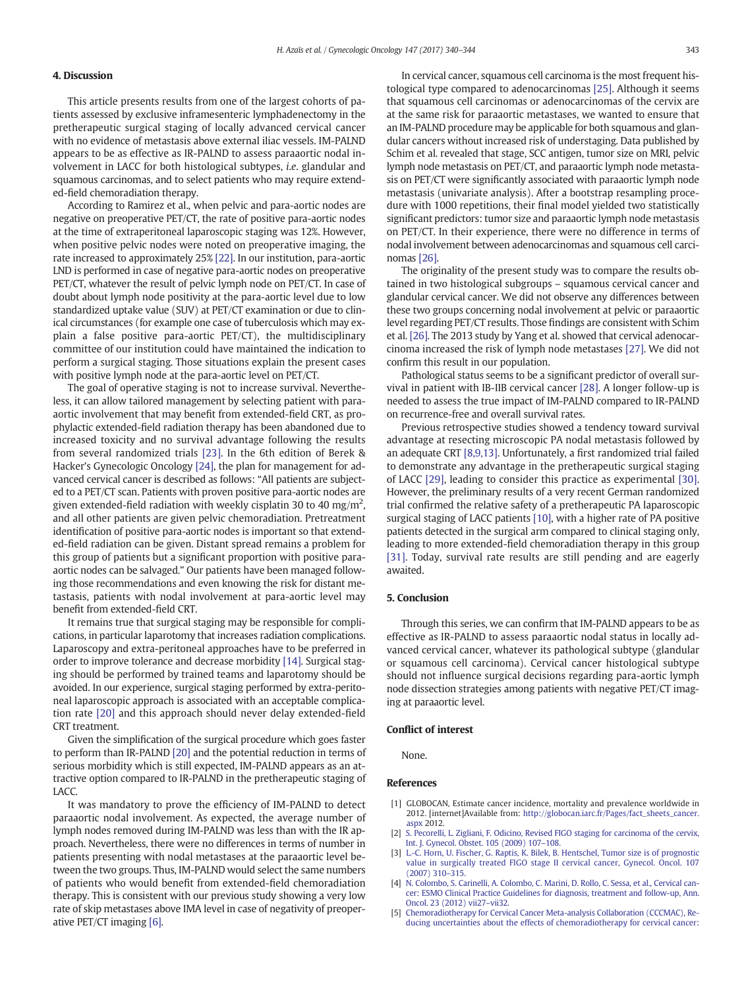#### <span id="page-3-0"></span>4. Discussion

This article presents results from one of the largest cohorts of patients assessed by exclusive inframesenteric lymphadenectomy in the pretherapeutic surgical staging of locally advanced cervical cancer with no evidence of metastasis above external iliac vessels. IM-PALND appears to be as effective as IR-PALND to assess paraaortic nodal involvement in LACC for both histological subtypes, i.e. glandular and squamous carcinomas, and to select patients who may require extended-field chemoradiation therapy.

According to Ramirez et al., when pelvic and para-aortic nodes are negative on preoperative PET/CT, the rate of positive para-aortic nodes at the time of extraperitoneal laparoscopic staging was 12%. However, when positive pelvic nodes were noted on preoperative imaging, the rate increased to approximately 25% [\[22\]](#page-4-0). In our institution, para-aortic LND is performed in case of negative para-aortic nodes on preoperative PET/CT, whatever the result of pelvic lymph node on PET/CT. In case of doubt about lymph node positivity at the para-aortic level due to low standardized uptake value (SUV) at PET/CT examination or due to clinical circumstances (for example one case of tuberculosis which may explain a false positive para-aortic PET/CT), the multidisciplinary committee of our institution could have maintained the indication to perform a surgical staging. Those situations explain the present cases with positive lymph node at the para-aortic level on PET/CT.

The goal of operative staging is not to increase survival. Nevertheless, it can allow tailored management by selecting patient with paraaortic involvement that may benefit from extended-field CRT, as prophylactic extended-field radiation therapy has been abandoned due to increased toxicity and no survival advantage following the results from several randomized trials [\[23\]](#page-4-0). In the 6th edition of Berek & Hacker's Gynecologic Oncology [\[24\]](#page-4-0), the plan for management for advanced cervical cancer is described as follows: "All patients are subjected to a PET/CT scan. Patients with proven positive para-aortic nodes are given extended-field radiation with weekly cisplatin 30 to 40 mg/m<sup>2</sup>, and all other patients are given pelvic chemoradiation. Pretreatment identification of positive para-aortic nodes is important so that extended-field radiation can be given. Distant spread remains a problem for this group of patients but a significant proportion with positive paraaortic nodes can be salvaged." Our patients have been managed following those recommendations and even knowing the risk for distant metastasis, patients with nodal involvement at para-aortic level may benefit from extended-field CRT.

It remains true that surgical staging may be responsible for complications, in particular laparotomy that increases radiation complications. Laparoscopy and extra-peritoneal approaches have to be preferred in order to improve tolerance and decrease morbidity [\[14\].](#page-4-0) Surgical staging should be performed by trained teams and laparotomy should be avoided. In our experience, surgical staging performed by extra-peritoneal laparoscopic approach is associated with an acceptable complication rate [\[20\]](#page-4-0) and this approach should never delay extended-field CRT treatment.

Given the simplification of the surgical procedure which goes faster to perform than IR-PALND [\[20\]](#page-4-0) and the potential reduction in terms of serious morbidity which is still expected, IM-PALND appears as an attractive option compared to IR-PALND in the pretherapeutic staging of LACC.

It was mandatory to prove the efficiency of IM-PALND to detect paraaortic nodal involvement. As expected, the average number of lymph nodes removed during IM-PALND was less than with the IR approach. Nevertheless, there were no differences in terms of number in patients presenting with nodal metastases at the paraaortic level between the two groups. Thus, IM-PALND would select the same numbers of patients who would benefit from extended-field chemoradiation therapy. This is consistent with our previous study showing a very low rate of skip metastases above IMA level in case of negativity of preoperative PET/CT imaging [\[6\]](#page-4-0).

In cervical cancer, squamous cell carcinoma is the most frequent histological type compared to adenocarcinomas [\[25\]](#page-4-0). Although it seems that squamous cell carcinomas or adenocarcinomas of the cervix are at the same risk for paraaortic metastases, we wanted to ensure that an IM-PALND procedure may be applicable for both squamous and glandular cancers without increased risk of understaging. Data published by Schim et al. revealed that stage, SCC antigen, tumor size on MRI, pelvic lymph node metastasis on PET/CT, and paraaortic lymph node metastasis on PET/CT were significantly associated with paraaortic lymph node metastasis (univariate analysis). After a bootstrap resampling procedure with 1000 repetitions, their final model yielded two statistically significant predictors: tumor size and paraaortic lymph node metastasis on PET/CT. In their experience, there were no difference in terms of nodal involvement between adenocarcinomas and squamous cell carcinomas [\[26\].](#page-4-0)

The originality of the present study was to compare the results obtained in two histological subgroups – squamous cervical cancer and glandular cervical cancer. We did not observe any differences between these two groups concerning nodal involvement at pelvic or paraaortic level regarding PET/CT results. Those findings are consistent with Schim et al. [\[26\]](#page-4-0). The 2013 study by Yang et al. showed that cervical adenocarcinoma increased the risk of lymph node metastases [\[27\].](#page-4-0) We did not confirm this result in our population.

Pathological status seems to be a significant predictor of overall survival in patient with IB-IIB cervical cancer [\[28\]](#page-4-0). A longer follow-up is needed to assess the true impact of IM-PALND compared to IR-PALND on recurrence-free and overall survival rates.

Previous retrospective studies showed a tendency toward survival advantage at resecting microscopic PA nodal metastasis followed by an adequate CRT [\[8,9,13\]](#page-4-0). Unfortunately, a first randomized trial failed to demonstrate any advantage in the pretherapeutic surgical staging of LACC [\[29\],](#page-4-0) leading to consider this practice as experimental [\[30\].](#page-4-0) However, the preliminary results of a very recent German randomized trial confirmed the relative safety of a pretherapeutic PA laparoscopic surgical staging of LACC patients [\[10\],](#page-4-0) with a higher rate of PA positive patients detected in the surgical arm compared to clinical staging only, leading to more extended-field chemoradiation therapy in this group [\[31\]](#page-4-0). Today, survival rate results are still pending and are eagerly awaited.

#### 5. Conclusion

Through this series, we can confirm that IM-PALND appears to be as effective as IR-PALND to assess paraaortic nodal status in locally advanced cervical cancer, whatever its pathological subtype (glandular or squamous cell carcinoma). Cervical cancer histological subtype should not influence surgical decisions regarding para-aortic lymph node dissection strategies among patients with negative PET/CT imaging at paraaortic level.

#### Conflict of interest

None.

#### References

- [1] GLOBOCAN, Estimate cancer incidence, mortality and prevalence worldwide in 2012. [internet]Available from: [http://globocan.iarc.fr/Pages/fact\\_sheets\\_cancer.](http://globocan.iarc.fr/Pages/fact_sheets_cancer.aspx) [aspx](http://globocan.iarc.fr/Pages/fact_sheets_cancer.aspx) 2012.
- [2] [S. Pecorelli, L. Zigliani, F. Odicino, Revised FIGO staging for carcinoma of the cervix,](http://refhub.elsevier.com/S0090-8258(17)31334-3/rf0010) [Int. J. Gynecol. Obstet. 105 \(2009\) 107](http://refhub.elsevier.com/S0090-8258(17)31334-3/rf0010)–108.
- [3] [L.-C. Horn, U. Fischer, G. Raptis, K. Bilek, B. Hentschel, Tumor size is of prognostic](http://refhub.elsevier.com/S0090-8258(17)31334-3/rf0015) [value in surgically treated FIGO stage II cervical cancer, Gynecol. Oncol. 107](http://refhub.elsevier.com/S0090-8258(17)31334-3/rf0015) [\(2007\) 310](http://refhub.elsevier.com/S0090-8258(17)31334-3/rf0015)–315.
- [4] [N. Colombo, S. Carinelli, A. Colombo, C. Marini, D. Rollo, C. Sessa, et al., Cervical can](http://refhub.elsevier.com/S0090-8258(17)31334-3/rf0020)[cer: ESMO Clinical Practice Guidelines for diagnosis, treatment and follow-up, Ann.](http://refhub.elsevier.com/S0090-8258(17)31334-3/rf0020) [Oncol. 23 \(2012\) vii27](http://refhub.elsevier.com/S0090-8258(17)31334-3/rf0020)–vii32.
- [5] [Chemoradiotherapy for Cervical Cancer Meta-analysis Collaboration \(CCCMAC\), Re](http://refhub.elsevier.com/S0090-8258(17)31334-3/rf0025)[ducing uncertainties about the effects of chemoradiotherapy for cervical cancer:](http://refhub.elsevier.com/S0090-8258(17)31334-3/rf0025)